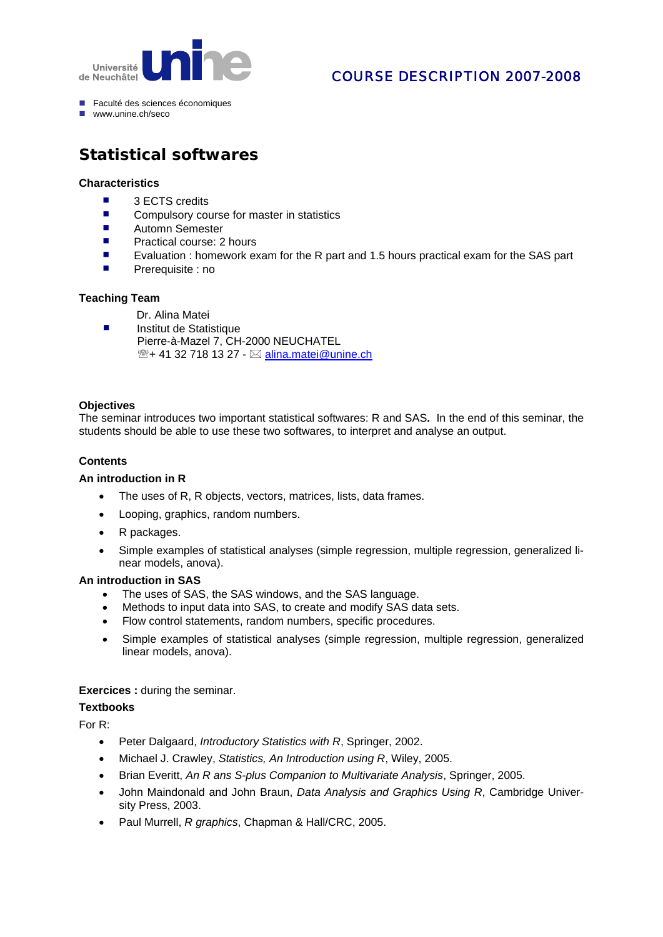

# COURSE DESCRIPTION 2007-2008

- Faculté des sciences économiques
- www.unine.ch/seco

# **Statistical softwares**

## **Characteristics**

- $\blacksquare$  3 ECTS credits
- Compulsory course for master in statistics
- Automn Semester
- **Practical course: 2 hours**
- Evaluation : homework exam for the R part and 1.5 hours practical exam for the SAS part
- Prerequisite : no

# **Teaching Team**

- Dr. Alina Matei
- **Institut de Statistique**  Pierre-à-Mazel 7, CH-2000 NEUCHATEL  $\mathbb{R}$ + 41 32 718 13 27 -  $\boxtimes$  [alina.matei@unine.ch](mailto:alina.matei@unine.ch)

#### **Objectives**

The seminar introduces two important statistical softwares: R and SAS**.** In the end of this seminar, the students should be able to use these two softwares, to interpret and analyse an output.

### **Contents**

#### **An introduction in R**

- The uses of R, R objects, vectors, matrices, lists, data frames.
- Looping, graphics, random numbers.
- R packages.
- Simple examples of statistical analyses (simple regression, multiple regression, generalized linear models, anova).

#### **An introduction in SAS**

- The uses of SAS, the SAS windows, and the SAS language.
- Methods to input data into SAS, to create and modify SAS data sets.
- Flow control statements, random numbers, specific procedures.
- Simple examples of statistical analyses (simple regression, multiple regression, generalized linear models, anova).

# **Exercices : during the seminar.**

#### **Textbooks**

For R:

- Peter Dalgaard, *Introductory Statistics with R*, Springer, 2002.
- Michael J. Crawley, *Statistics, An Introduction using R*, Wiley, 2005.
- Brian Everitt, *An R ans S-plus Companion to Multivariate Analysis*, Springer, 2005.
- John Maindonald and John Braun, *Data Analysis and Graphics Using R*, Cambridge University Press, 2003.
- Paul Murrell, *R graphics*, Chapman & Hall/CRC, 2005.